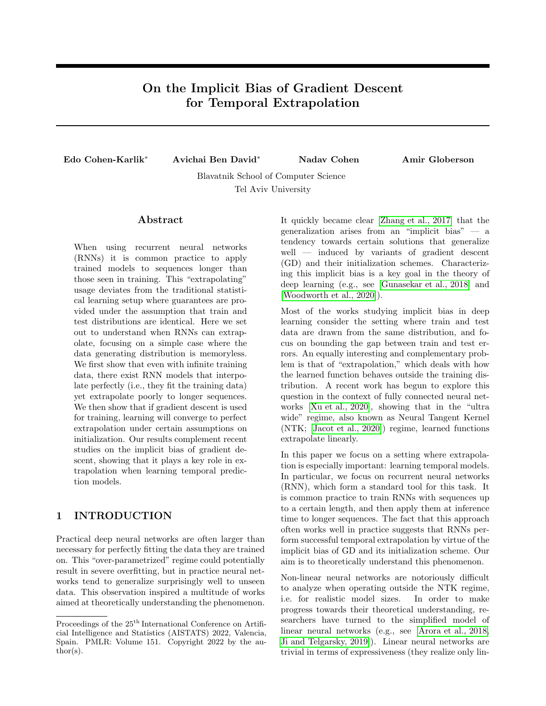# On the Implicit Bias of Gradient Descent for Temporal Extrapolation

Edo Cohen-Karlik<sup>∗</sup> Avichai Ben David<sup>∗</sup> Nadav Cohen Amir Globerson

Blavatnik School of Computer Science Tel Aviv University

#### Abstract

When using recurrent neural networks (RNNs) it is common practice to apply trained models to sequences longer than those seen in training. This "extrapolating" usage deviates from the traditional statistical learning setup where guarantees are provided under the assumption that train and test distributions are identical. Here we set out to understand when RNNs can extrapolate, focusing on a simple case where the data generating distribution is memoryless. We first show that even with infinite training data, there exist RNN models that interpolate perfectly (i.e., they fit the training data) yet extrapolate poorly to longer sequences. We then show that if gradient descent is used for training, learning will converge to perfect extrapolation under certain assumptions on initialization. Our results complement recent studies on the implicit bias of gradient descent, showing that it plays a key role in extrapolation when learning temporal prediction models.

# 1 INTRODUCTION

Practical deep neural networks are often larger than necessary for perfectly fitting the data they are trained on. This "over-parametrized" regime could potentially result in severe overfitting, but in practice neural networks tend to generalize surprisingly well to unseen data. This observation inspired a multitude of works aimed at theoretically understanding the phenomenon. It quickly became clear [\[Zhang et al., 2017\]](#page-9-0) that the generalization arises from an "implicit bias" — a tendency towards certain solutions that generalize well — induced by variants of gradient descent (GD) and their initialization schemes. Characterizing this implicit bias is a key goal in the theory of deep learning (e.g., see [\[Gunasekar et al., 2018\]](#page-8-0) and [\[Woodworth et al., 2020\]](#page-8-1)).

Most of the works studying implicit bias in deep learning consider the setting where train and test data are drawn from the same distribution, and focus on bounding the gap between train and test errors. An equally interesting and complementary problem is that of "extrapolation," which deals with how the learned function behaves outside the training distribution. A recent work has begun to explore this question in the context of fully connected neural networks [\[Xu et al., 2020\]](#page-8-2), showing that in the "ultra wide" regime, also known as Neural Tangent Kernel (NTK; [\[Jacot et al., 2020\]](#page-8-3)) regime, learned functions extrapolate linearly.

In this paper we focus on a setting where extrapolation is especially important: learning temporal models. In particular, we focus on recurrent neural networks (RNN), which form a standard tool for this task. It is common practice to train RNNs with sequences up to a certain length, and then apply them at inference time to longer sequences. The fact that this approach often works well in practice suggests that RNNs perform successful temporal extrapolation by virtue of the implicit bias of GD and its initialization scheme. Our aim is to theoretically understand this phenomenon.

Non-linear neural networks are notoriously difficult to analyze when operating outside the NTK regime, i.e. for realistic model sizes. In order to make progress towards their theoretical understanding, researchers have turned to the simplified model of linear neural networks (e.g., see [\[Arora et al., 2018,](#page-6-0) [Ji and Telgarsky, 2019\]](#page-8-4)). Linear neural networks are trivial in terms of expressiveness (they realize only lin-

Proceedings of the  $25<sup>th</sup>$  International Conference on Artificial Intelligence and Statistics (AISTATS) 2022, Valencia, Spain. PMLR: Volume 151. Copyright 2022 by the au- $\text{thor}(s)$ .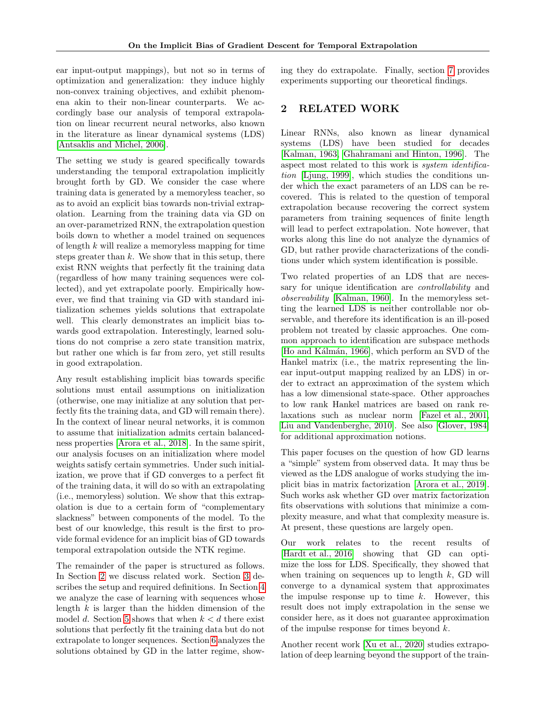ear input-output mappings), but not so in terms of optimization and generalization: they induce highly non-convex training objectives, and exhibit phenomena akin to their non-linear counterparts. We accordingly base our analysis of temporal extrapolation on linear recurrent neural networks, also known in the literature as linear dynamical systems (LDS) [\[Antsaklis and Michel, 2006\]](#page-6-1).

The setting we study is geared specifically towards understanding the temporal extrapolation implicitly brought forth by GD. We consider the case where training data is generated by a memoryless teacher, so as to avoid an explicit bias towards non-trivial extrapolation. Learning from the training data via GD on an over-parametrized RNN, the extrapolation question boils down to whether a model trained on sequences of length k will realize a memoryless mapping for time steps greater than  $k$ . We show that in this setup, there exist RNN weights that perfectly fit the training data (regardless of how many training sequences were collected), and yet extrapolate poorly. Empirically however, we find that training via GD with standard initialization schemes yields solutions that extrapolate well. This clearly demonstrates an implicit bias towards good extrapolation. Interestingly, learned solutions do not comprise a zero state transition matrix, but rather one which is far from zero, yet still results in good extrapolation.

Any result establishing implicit bias towards specific solutions must entail assumptions on initialization (otherwise, one may initialize at any solution that perfectly fits the training data, and GD will remain there). In the context of linear neural networks, it is common to assume that initialization admits certain balancedness properties [\[Arora et al., 2018\]](#page-6-0). In the same spirit, our analysis focuses on an initialization where model weights satisfy certain symmetries. Under such initialization, we prove that if GD converges to a perfect fit of the training data, it will do so with an extrapolating (i.e., memoryless) solution. We show that this extrapolation is due to a certain form of "complementary slackness" between components of the model. To the best of our knowledge, this result is the first to provide formal evidence for an implicit bias of GD towards temporal extrapolation outside the NTK regime.

The remainder of the paper is structured as follows. In Section [2](#page-1-0) we discuss related work. Section [3](#page-2-0) describes the setup and required definitions. In Section [4](#page-3-0) we analyze the case of learning with sequences whose length  $k$  is larger than the hidden dimension of the model d. Section [5](#page-3-1) shows that when  $k < d$  there exist solutions that perfectly fit the training data but do not extrapolate to longer sequences. Section [6](#page-4-0) analyzes the solutions obtained by GD in the latter regime, showing they do extrapolate. Finally, section [7](#page-5-0) provides experiments supporting our theoretical findings.

### <span id="page-1-0"></span>2 RELATED WORK

Linear RNNs, also known as linear dynamical systems (LDS) have been studied for decades [\[Kalman, 1963,](#page-8-5) [Ghahramani and Hinton, 1996\]](#page-8-6). The aspect most related to this work is system identification [\[Ljung, 1999\]](#page-8-7), which studies the conditions under which the exact parameters of an LDS can be recovered. This is related to the question of temporal extrapolation because recovering the correct system parameters from training sequences of finite length will lead to perfect extrapolation. Note however, that works along this line do not analyze the dynamics of GD, but rather provide characterizations of the conditions under which system identification is possible.

Two related properties of an LDS that are necessary for unique identification are *controllability* and observability [\[Kalman, 1960\]](#page-8-8). In the memoryless setting the learned LDS is neither controllable nor observable, and therefore its identification is an ill-posed problem not treated by classic approaches. One common approach to identification are subspace methods [Ho and Kálmán, 1966], which perform an SVD of the Hankel matrix (i.e., the matrix representing the linear input-output mapping realized by an LDS) in order to extract an approximation of the system which has a low dimensional state-space. Other approaches to low rank Hankel matrices are based on rank relaxations such as nuclear norm [\[Fazel et al., 2001,](#page-8-10) [Liu and Vandenberghe, 2010\]](#page-8-11). See also [\[Glover, 1984\]](#page-8-12) for additional approximation notions.

This paper focuses on the question of how GD learns a "simple" system from observed data. It may thus be viewed as the LDS analogue of works studying the implicit bias in matrix factorization [\[Arora et al., 2019\]](#page-6-2). Such works ask whether GD over matrix factorization fits observations with solutions that minimize a complexity measure, and what that complexity measure is. At present, these questions are largely open.

Our work relates to the recent results of [\[Hardt et al., 2016\]](#page-8-13) showing that GD can optimize the loss for LDS. Specifically, they showed that when training on sequences up to length  $k$ , GD will converge to a dynamical system that approximates the impulse response up to time  $k$ . However, this result does not imply extrapolation in the sense we consider here, as it does not guarantee approximation of the impulse response for times beyond  $k$ .

Another recent work [\[Xu et al., 2020\]](#page-8-2) studies extrapolation of deep learning beyond the support of the train-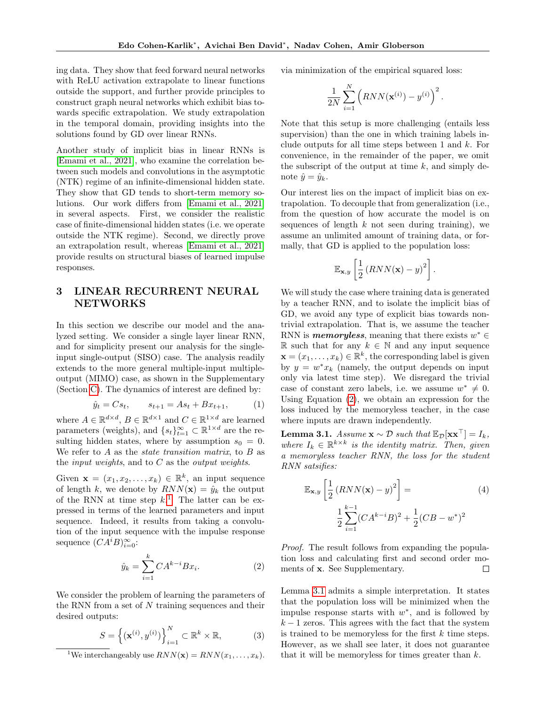ing data. They show that feed forward neural networks with ReLU activation extrapolate to linear functions outside the support, and further provide principles to construct graph neural networks which exhibit bias towards specific extrapolation. We study extrapolation in the temporal domain, providing insights into the solutions found by GD over linear RNNs.

Another study of implicit bias in linear RNNs is [\[Emami et al., 2021\]](#page-8-14), who examine the correlation between such models and convolutions in the asymptotic (NTK) regime of an infinite-dimensional hidden state. They show that GD tends to short-term memory solutions. Our work differs from [\[Emami et al., 2021\]](#page-8-14) in several aspects. First, we consider the realistic case of finite-dimensional hidden states (i.e. we operate outside the NTK regime). Second, we directly prove an extrapolation result, whereas [\[Emami et al., 2021\]](#page-8-14) provide results on structural biases of learned impulse responses.

# <span id="page-2-0"></span>3 LINEAR RECURRENT NEURAL NETWORKS

In this section we describe our model and the analyzed setting. We consider a single layer linear RNN, and for simplicity present our analysis for the singleinput single-output (SISO) case. The analysis readily extends to the more general multiple-input multipleoutput (MIMO) case, as shown in the Supplementary (Section [C\)](#page-11-0). The dynamics of interest are defined by:

$$
\hat{y}_t = Cs_t, \qquad s_{t+1} = As_t + Bx_{t+1}, \tag{1}
$$

where  $A \in \mathbb{R}^{d \times d}$ ,  $B \in \mathbb{R}^{d \times 1}$  and  $C \in \mathbb{R}^{1 \times d}$  are learned parameters (weights), and  $\{s_t\}_{t=1}^{\infty} \subset \mathbb{R}^{1 \times d}$  are the resulting hidden states, where by assumption  $s_0 = 0$ . We refer to  $A$  as the *state transition matrix*, to  $B$  as the *input weights*, and to  $C$  as the *output weights*.

Given  $\mathbf{x} = (x_1, x_2, \dots, x_k) \in \mathbb{R}^k$ , an input sequence of length k, we denote by  $RNN(\mathbf{x}) = \hat{y}_k$  the output of the RNN at time step  $k$ <sup>[1](#page-2-1)</sup>. The latter can be expressed in terms of the learned parameters and input sequence. Indeed, it results from taking a convolution of the input sequence with the impulse response sequence  $(CA^iB)_{i=0}^{\infty}$ :

<span id="page-2-2"></span>
$$
\hat{y}_k = \sum_{i=1}^k C A^{k-i} B x_i.
$$
 (2)

We consider the problem of learning the parameters of the RNN from a set of  $N$  training sequences and their desired outputs:

$$
S = \left\{ (\mathbf{x}^{(i)}, y^{(i)}) \right\}_{i=1}^{N} \subset \mathbb{R}^{k} \times \mathbb{R},
$$
 (3)

<span id="page-2-1"></span><sup>1</sup>We interchangeably use  $RNN(\mathbf{x}) = RNN(x_1, \ldots, x_k)$ .

via minimization of the empirical squared loss:

$$
\frac{1}{2N} \sum_{i=1}^{N} (RNN(\mathbf{x}^{(i)}) - y^{(i)})^{2}.
$$

Note that this setup is more challenging (entails less supervision) than the one in which training labels include outputs for all time steps between 1 and  $k$ . For convenience, in the remainder of the paper, we omit the subscript of the output at time  $k$ , and simply denote  $\hat{y} = \hat{y}_k$ .

Our interest lies on the impact of implicit bias on extrapolation. To decouple that from generalization (i.e., from the question of how accurate the model is on sequences of length  $k$  not seen during training), we assume an unlimited amount of training data, or formally, that GD is applied to the population loss:

$$
\mathbb{E}_{\mathbf{x},y}\left[\frac{1}{2}\left(RNN(\mathbf{x})-y\right)^2\right].
$$

We will study the case where training data is generated by a teacher RNN, and to isolate the implicit bias of GD, we avoid any type of explicit bias towards nontrivial extrapolation. That is, we assume the teacher RNN is **memoryless**, meaning that there exists  $w^* \in$ R such that for any  $k \in \mathbb{N}$  and any input sequence  $\mathbf{x} = (x_1, \dots, x_k) \in \mathbb{R}^k$ , the corresponding label is given by  $y = w^* x_k$  (namely, the output depends on input only via latest time step). We disregard the trivial case of constant zero labels, i.e. we assume  $w^* \neq 0$ . Using Equation [\(2\)](#page-2-2), we obtain an expression for the loss induced by the memoryless teacher, in the case where inputs are drawn independently.

<span id="page-2-3"></span>**Lemma 3.1.** Assume  $\mathbf{x} \sim \mathcal{D}$  such that  $\mathbb{E}_{\mathcal{D}}[\mathbf{x} \mathbf{x}^{\top}] = I_k$ , where  $I_k \in \mathbb{R}^{k \times k}$  is the identity matrix. Then, given a memoryless teacher RNN, the loss for the student RNN satsifies:

<span id="page-2-4"></span>
$$
\mathbb{E}_{\mathbf{x},y} \left[ \frac{1}{2} \left( RNN(\mathbf{x}) - y \right)^2 \right] =
$$
\n
$$
\frac{1}{2} \sum_{i=1}^{k-1} (CA^{k-i}B)^2 + \frac{1}{2} (CB - w^*)^2
$$
\n(4)

Proof. The result follows from expanding the population loss and calculating first and second order moments of x. See Supplementary.  $\Box$ 

Lemma [3.1](#page-2-3) admits a simple interpretation. It states that the population loss will be minimized when the impulse response starts with  $w^*$ , and is followed by  $k-1$  zeros. This agrees with the fact that the system is trained to be memoryless for the first  $k$  time steps. However, as we shall see later, it does not guarantee that it will be memoryless for times greater than  $k$ .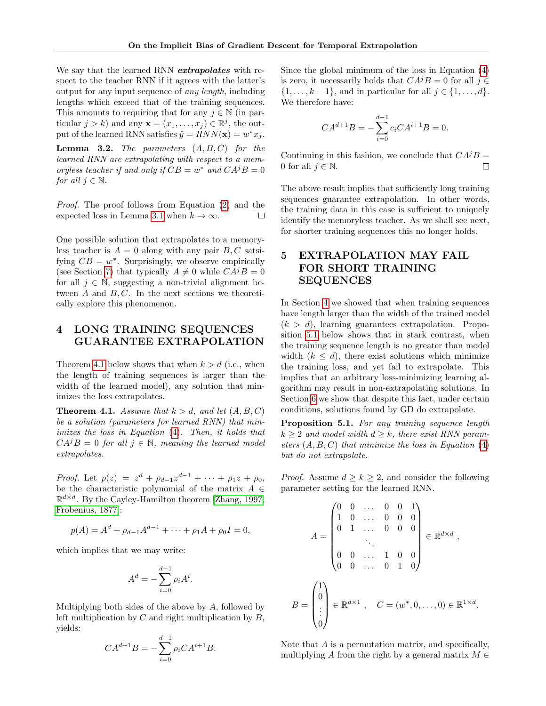We say that the learned RNN *extrapolates* with respect to the teacher RNN if it agrees with the latter's output for any input sequence of any length, including lengths which exceed that of the training sequences. This amounts to requiring that for any  $j \in \mathbb{N}$  (in particular  $j > k$ ) and any  $\mathbf{x} = (x_1, \dots, x_j) \in \mathbb{R}^j$ , the output of the learned RNN satisfies  $\hat{y} = RNN(\mathbf{x}) = w^*x_j$ .

<span id="page-3-4"></span>**Lemma 3.2.** The parameters  $(A, B, C)$  for the learned RNN are extrapolating with respect to a memoryless teacher if and only if  $CB = w^*$  and  $CA^jB = 0$ for all  $j \in \mathbb{N}$ .

Proof. The proof follows from Equation [\(2\)](#page-2-2) and the expected loss in Lemma [3.1](#page-2-3) when  $k \to \infty$ . П

One possible solution that extrapolates to a memoryless teacher is  $A = 0$  along with any pair  $B, C$  satsifying  $CB = w^*$ . Surprisingly, we observe empirically (see Section [7\)](#page-5-0) that typically  $A \neq 0$  while  $CA^{j}B = 0$ for all  $j \in \mathbb{N}$ , suggesting a non-trivial alignment between  $A$  and  $B, C$ . In the next sections we theoretically explore this phenomenon.

# <span id="page-3-0"></span>4 LONG TRAINING SEQUENCES GUARANTEE EXTRAPOLATION

Theorem [4.1](#page-3-2) below shows that when  $k > d$  (i.e., when the length of training sequences is larger than the width of the learned model), any solution that minimizes the loss extrapolates.

<span id="page-3-2"></span>**Theorem 4.1.** Assume that  $k > d$ , and let  $(A, B, C)$ be a solution (parameters for learned RNN) that minimizes the loss in Equation [\(4\)](#page-2-4). Then, it holds that  $CA^{j}B = 0$  for all  $j \in \mathbb{N}$ , meaning the learned model extrapolates.

*Proof.* Let  $p(z) = z^d + \rho_{d-1} z^{d-1} + \cdots + \rho_1 z + \rho_0$ , be the characteristic polynomial of the matrix  $A \in$  $\mathbb{R}^{d \times d}$ . By the Cayley-Hamilton theorem [\[Zhang, 1997,](#page-9-1) [Frobenius, 1877\]](#page-8-15):

$$
p(A) = Ad + \rho_{d-1}Ad-1 + \dots + \rho_1A + \rho_0I = 0,
$$

which implies that we may write:

$$
A^d = -\sum_{i=0}^{d-1} \rho_i A^i.
$$

Multiplying both sides of the above by  $A$ , followed by left multiplication by  $C$  and right multiplication by  $B$ , yields: d−1

$$
CA^{d+1}B = -\sum_{i=0}^{a-1} \rho_i CA^{i+1}B.
$$

Since the global minimum of the loss in Equation [\(4\)](#page-2-4) is zero, it necessarily holds that  $CA^{j}B = 0$  for all  $j \in$  $\{1, \ldots, k-1\}$ , and in particular for all  $j \in \{1, \ldots, d\}$ . We therefore have:

$$
CA^{d+1}B = -\sum_{i=0}^{d-1} c_i CA^{i+1}B = 0.
$$

Continuing in this fashion, we conclude that  $CA^{j}B =$ 0 for all  $j \in \mathbb{N}$ .  $\Box$ 

The above result implies that sufficiently long training sequences guarantee extrapolation. In other words, the training data in this case is sufficient to uniquely identify the memoryless teacher. As we shall see next, for shorter training sequences this no longer holds.

# <span id="page-3-1"></span>5 EXTRAPOLATION MAY FAIL FOR SHORT TRAINING SEQUENCES

In Section [4](#page-3-0) we showed that when training sequences have length larger than the width of the trained model  $(k > d)$ , learning guarantees extrapolation. Proposition [5.1](#page-3-3) below shows that in stark contrast, when the training sequence length is no greater than model width  $(k \leq d)$ , there exist solutions which minimize the training loss, and yet fail to extrapolate. This implies that an arbitrary loss-minimizing learning algorithm may result in non-extrapolating solutions. In Section [6](#page-4-0) we show that despite this fact, under certain conditions, solutions found by GD do extrapolate.

<span id="page-3-3"></span>Proposition 5.1. For any training sequence length  $k \geq 2$  and model width  $d \geq k$ , there exist RNN parameters  $(A, B, C)$  that minimize the loss in Equation  $(4)$ but do not extrapolate.

*Proof.* Assume  $d \geq k \geq 2$ , and consider the following parameter setting for the learned RNN.

$$
A = \begin{pmatrix} 0 & 0 & \dots & 0 & 0 & 1 \\ 1 & 0 & \dots & 0 & 0 & 0 \\ 0 & 1 & \dots & 0 & 0 & 0 \\ & & \ddots & & & \\ 0 & 0 & \dots & 1 & 0 & 0 \\ 0 & 0 & \dots & 0 & 1 & 0 \end{pmatrix} \in \mathbb{R}^{d \times d},
$$

$$
B = \begin{pmatrix} 1 \\ 0 \\ \vdots \\ 0 \end{pmatrix} \in \mathbb{R}^{d \times 1}, \quad C = (w^*, 0, \dots, 0) \in \mathbb{R}^{1 \times d}.
$$

Note that A is a permutation matrix, and specifically, multiplying A from the right by a general matrix  $M \in$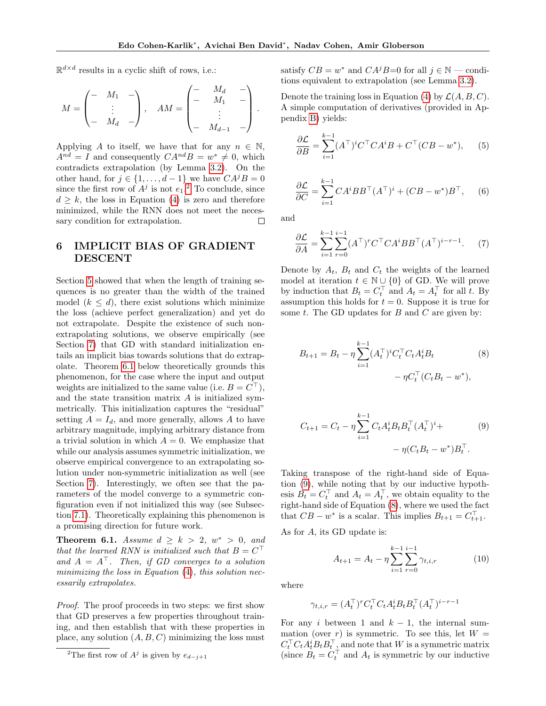$\mathbb{R}^{d \times d}$  results in a cyclic shift of rows, i.e.:

$$
M = \begin{pmatrix} - & M_1 & - \\ & \vdots & \\ - & M_d & - \end{pmatrix}, \quad AM = \begin{pmatrix} - & M_d & - \\ - & M_1 & - \\ & \vdots & \\ - & M_{d-1} & - \end{pmatrix}.
$$

Applying A to itself, we have that for any  $n \in \mathbb{N}$ ,  $A^{nd} = I$  and consequently  $CA^{nd}B = w^* \neq 0$ , which contradicts extrapolation (by Lemma [3.2\)](#page-3-4). On the other hand, for  $j \in \{1, ..., d-1\}$  we have  $CA^{j}B = 0$ since the first row of  $A^j$  is not  $e_1$ .<sup>[2](#page-4-1)</sup> To conclude, since  $d \geq k$ , the loss in Equation [\(4\)](#page-2-4) is zero and therefore minimized, while the RNN does not meet the necessary condition for extrapolation.  $\Box$ 

# <span id="page-4-0"></span>6 IMPLICIT BIAS OF GRADIENT DESCENT

Section [5](#page-3-1) showed that when the length of training sequences is no greater than the width of the trained model  $(k \leq d)$ , there exist solutions which minimize the loss (achieve perfect generalization) and yet do not extrapolate. Despite the existence of such nonextrapolating solutions, we observe empirically (see Section [7\)](#page-5-0) that GD with standard initialization entails an implicit bias towards solutions that do extrapolate. Theorem [6.1](#page-4-2) below theoretically grounds this phenomenon, for the case where the input and output weights are initialized to the same value (i.e.  $B = C^{\top}$ ), and the state transition matrix A is initialized symmetrically. This initialization captures the "residual" setting  $A = I_d$ , and more generally, allows A to have arbitrary magnitude, implying arbitrary distance from a trivial solution in which  $A = 0$ . We emphasize that while our analysis assumes symmetric initialization, we observe empirical convergence to an extrapolating solution under non-symmetric initialization as well (see Section [7\)](#page-5-0). Interestingly, we often see that the parameters of the model converge to a symmetric configuration even if not initialized this way (see Subsection [7.1\)](#page-6-3). Theoretically explaining this phenomenon is a promising direction for future work.

<span id="page-4-2"></span>**Theorem 6.1.** Assume  $d \geq k > 2$ ,  $w^* > 0$ , and that the learned RNN is initialized such that  $B = C^{\top}$ and  $A = A^{\top}$ . Then, if GD converges to a solution minimizing the loss in Equation  $(4)$ , this solution necessarily extrapolates.

Proof. The proof proceeds in two steps: we first show that GD preserves a few properties throughout training, and then establish that with these properties in place, any solution  $(A, B, C)$  minimizing the loss must

satisfy  $CB = w^*$  and  $CA^jB=0$  for all  $j \in \mathbb{N}$  — conditions equivalent to extrapolation (see Lemma [3.2\)](#page-3-4).

Denote the training loss in Equation [\(4\)](#page-2-4) by  $\mathcal{L}(A, B, C)$ . A simple computation of derivatives (provided in Appendix [B\)](#page-11-1) yields:

$$
\frac{\partial \mathcal{L}}{\partial B} = \sum_{i=1}^{k-1} (A^{\top})^i C^{\top} C A^i B + C^{\top} (C B - w^*), \quad (5)
$$

$$
\frac{\partial \mathcal{L}}{\partial C} = \sum_{i=1}^{k-1} C A^i B B^\top (A^\top)^i + (C B - w^*) B^\top, \quad (6)
$$

and

$$
\frac{\partial \mathcal{L}}{\partial A} = \sum_{i=1}^{k-1} \sum_{r=0}^{i-1} (A^{\top})^r C^{\top} C A^i B B^{\top} (A^{\top})^{i-r-1}.
$$
 (7)

Denote by  $A_t$ ,  $B_t$  and  $C_t$  the weights of the learned model at iteration  $t \in \mathbb{N} \cup \{0\}$  of GD. We will prove by induction that  $B_t = C_t^{\top}$  and  $A_t = A_t^{\top}$  for all t. By assumption this holds for  $t = 0$ . Suppose it is true for some  $t$ . The GD updates for  $B$  and  $C$  are given by:

<span id="page-4-4"></span>
$$
B_{t+1} = B_t - \eta \sum_{i=1}^{k-1} (A_t^{\top})^i C_t^{\top} C_t A_t^i B_t
$$
  
-  $\eta C_t^{\top} (C_t B_t - w^*),$  (8)

<span id="page-4-3"></span>
$$
C_{t+1} = C_t - \eta \sum_{i=1}^{k-1} C_t A_t^i B_t B_t^\top (A_t^\top)^i +
$$
  
-  $\eta (C_t B_t - w^*) B_t^\top.$  (9)

Taking transpose of the right-hand side of Equation [\(9\)](#page-4-3), while noting that by our inductive hypothesis  $B_t = C_t^{\top}$  and  $A_t = A_t^{\top}$ , we obtain equality to the right-hand side of Equation [\(8\)](#page-4-4), where we used the fact that  $CB - w^*$  is a scalar. This implies  $B_{t+1} = C_{t+1}^\top$ .

As for A, its GD update is:

<span id="page-4-5"></span>
$$
A_{t+1} = A_t - \eta \sum_{i=1}^{k-1} \sum_{r=0}^{i-1} \gamma_{t,i,r}
$$
 (10)

where

$$
\gamma_{t,i,r} = (A_t^\top)^r C_t^\top C_t A_t^i B_t B_t^\top (A_t^\top)^{i-r-1}
$$

For any i between 1 and  $k - 1$ , the internal summation (over r) is symmetric. To see this, let  $W =$  $C_t^\top C_t A_t^i B_t B_t^\top$ , and note that W is a symmetric matrix (since  $B_t = C_t^{\top}$  and  $A_t$  is symmetric by our inductive

<span id="page-4-1"></span><sup>&</sup>lt;sup>2</sup>The first row of  $A^j$  is given by  $e_{d-j+1}$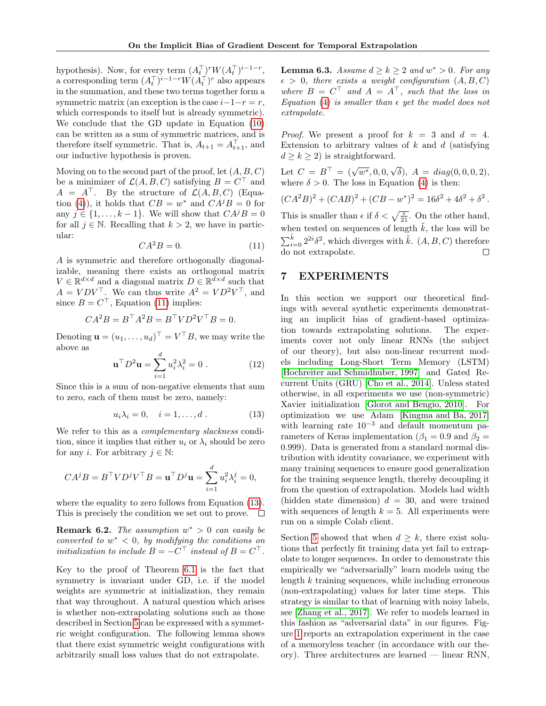hypothesis). Now, for every term  $(A_t^\top)^r W (A_t^\top)^{i-1-r}$ , a corresponding term  $(A_t^\top)^{i-1-r}W(A_t^\top)^r$  also appears in the summation, and these two terms together form a symmetric matrix (an exception is the case  $i-1-r = r$ , which corresponds to itself but is already symmetric). We conclude that the GD update in Equation [\(10\)](#page-4-5) can be written as a sum of symmetric matrices, and is therefore itself symmetric. That is,  $A_{t+1} = A_{t+1}^{\top}$ , and our inductive hypothesis is proven.

Moving on to the second part of the proof, let  $(A, B, C)$ be a minimizer of  $\mathcal{L}(A, B, C)$  satisfying  $B = C^{\top}$  and  $A = A^{\top}$ . By the structure of  $\mathcal{L}(A, B, C)$  (Equa-tion [\(4\)](#page-2-4)), it holds that  $CB = w^*$  and  $CA^jB = 0$  for any  $j \in \{1, \ldots, k-1\}$ . We will show that  $CA^jB = 0$ for all  $j \in \mathbb{N}$ . Recalling that  $k > 2$ , we have in particular:

$$
CA^2B = 0.\t(11)
$$

<span id="page-5-1"></span>A is symmetric and therefore orthogonally diagonalizable, meaning there exists an orthogonal matrix  $V \in \mathbb{R}^{d \times d}$  and a diagonal matrix  $D \in \mathbb{R}^{d \times d}$  such that  $A = VDV^{\top}$ . We can thus write  $A^2 = VD^2V^{\top}$ , and since  $B = C^{\top}$ , Equation [\(11\)](#page-5-1) implies:

$$
CA^2B = B^{\top}A^2B = B^{\top}VD^2V^{\top}B = 0.
$$

Denoting  $\mathbf{u} = (u_1, \dots, u_d)^\top = V^\top B$ , we may write the above as

$$
\mathbf{u}^\top D^2 \mathbf{u} = \sum_{i=1}^d u_i^2 \lambda_i^2 = 0 \tag{12}
$$

Since this is a sum of non-negative elements that sum to zero, each of them must be zero, namely:

$$
u_i \lambda_i = 0, \quad i = 1, \dots, d. \tag{13}
$$

We refer to this as a *complementary slackness* condition, since it implies that either  $u_i$  or  $\lambda_i$  should be zero for any *i*. For arbitrary  $j \in \mathbb{N}$ :

$$
CA^jB = B^{\top}VD^jV^{\top}B = \mathbf{u}^{\top}D^j\mathbf{u} = \sum_{i=1}^d u_i^2\lambda_i^j = 0,
$$

where the equality to zero follows from Equation [\(13\)](#page-5-2). This is precisely the condition we set out to prove.  $\Box$ 

**Remark 6.2.** The assumption  $w^* > 0$  can easily be converted to  $w^* < 0$ , by modifying the conditions on initialization to include  $B = -C^{\top}$  instead of  $B = C^{\top}$ .

Key to the proof of Theorem [6.1](#page-4-2) is the fact that symmetry is invariant under GD, i.e. if the model weights are symmetric at initialization, they remain that way throughout. A natural question which arises is whether non-extrapolating solutions such as those described in Section [5](#page-3-1) can be expressed with a symmetric weight configuration. The following lemma shows that there exist symmetric weight configurations with arbitrarily small loss values that do not extrapolate.

**Lemma 6.3.** Assume  $d \geq k \geq 2$  and  $w^* > 0$ . For any  $\epsilon > 0$ , there exists a weight configuration  $(A, B, C)$ where  $B = C^{\top}$  and  $A = A^{\top}$ , such that the loss in Equation [\(4\)](#page-2-4) is smaller than  $\epsilon$  yet the model does not extrapolate.

*Proof.* We present a proof for  $k = 3$  and  $d = 4$ . Extension to arbitrary values of  $k$  and  $d$  (satisfying  $d \geq k \geq 2$ ) is straightforward.

Let  $C = B^{\top} = (\sqrt{w^*}, 0, 0, \sqrt{w^*})$  $\delta$ ),  $A = diag(0, 0, 0, 2)$ , where  $\delta > 0$ . The loss in Equation [\(4\)](#page-2-4) is then:

 $(CA^2B)^2 + (CAB)^2 + (CB - w^*)^2 = 16\delta^2 + 4\delta^2 + \delta^2$ . This is smaller than  $\epsilon$  if  $\delta < \sqrt{\frac{\epsilon}{21}}$ . On the other hand, when tested on sequences of length  $\tilde{k}$ , the loss will be  $\sum_{i=0}^{\tilde{k}} 2^{2i} \delta^2$ , which diverges with  $\tilde{k}$ .  $(A, B, C)$  therefore do not extrapolate.

#### <span id="page-5-0"></span>7 EXPERIMENTS

<span id="page-5-2"></span>In this section we support our theoretical findings with several synthetic experiments demonstrating an implicit bias of gradient-based optimization towards extrapolating solutions. The experiments cover not only linear RNNs (the subject of our theory), but also non-linear recurrent models including Long-Short Term Memory (LSTM) [\[Hochreiter and Schmidhuber, 1997\]](#page-8-16) and Gated Recurrent Units (GRU) [\[Cho et al., 2014\]](#page-6-4). Unless stated otherwise, in all experiments we use (non-symmetric) Xavier initialization [\[Glorot and Bengio, 2010\]](#page-8-17). For optimization we use Adam [\[Kingma and Ba, 2017\]](#page-8-18) with learning rate  $10^{-3}$  and default momentum parameters of Keras implementation ( $\beta_1 = 0.9$  and  $\beta_2 =$ 0.999). Data is generated from a standard normal distribution with identity covariance, we experiment with many training sequences to ensure good generalization for the training sequence length, thereby decoupling it from the question of extrapolation. Models had width (hidden state dimension)  $d = 30$ , and were trained with sequences of length  $k = 5$ . All experiments were run on a simple Colab client.

Section [5](#page-3-1) showed that when  $d \geq k$ , there exist solutions that perfectly fit training data yet fail to extrapolate to longer sequences. In order to demonstrate this empirically we "adversarially" learn models using the length  $k$  training sequences, while including erroneous (non-extrapolating) values for later time steps. This strategy is similar to that of learning with noisy labels, see [\[Zhang et al., 2017\]](#page-9-0). We refer to models learned in this fashion as "adversarial data" in our figures. Figure [1](#page-7-0) reports an extrapolation experiment in the case of a memoryless teacher (in accordance with our theory). Three architectures are learned — linear RNN,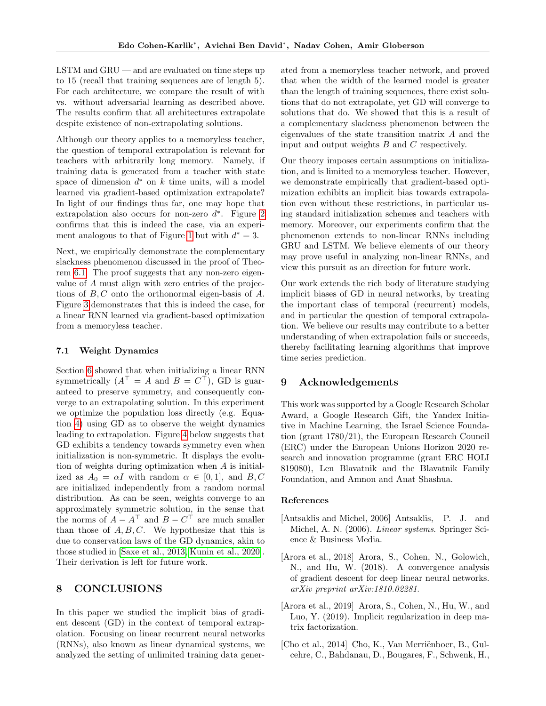$\text{LSTM}$  and  $\text{GRU}$  — and are evaluated on time steps up to 15 (recall that training sequences are of length 5). For each architecture, we compare the result of with vs. without adversarial learning as described above. The results confirm that all architectures extrapolate despite existence of non-extrapolating solutions.

Although our theory applies to a memoryless teacher, the question of temporal extrapolation is relevant for teachers with arbitrarily long memory. Namely, if training data is generated from a teacher with state space of dimension  $d^*$  on  $k$  time units, will a model learned via gradient-based optimization extrapolate? In light of our findings thus far, one may hope that extrapolation also occurs for non-zero  $d^*$ . Figure [2](#page-7-1) confirms that this is indeed the case, via an experi-ment analogous to that of Figure [1](#page-7-0) but with  $d^* = 3$ .

Next, we empirically demonstrate the complementary slackness phenomenon discussed in the proof of Theorem [6.1.](#page-4-2) The proof suggests that any non-zero eigenvalue of A must align with zero entries of the projections of  $B, C$  onto the orthonormal eigen-basis of  $A$ . Figure [3](#page-7-2) demonstrates that this is indeed the case, for a linear RNN learned via gradient-based optimization from a memoryless teacher.

#### <span id="page-6-3"></span>7.1 Weight Dynamics

Section [6](#page-4-0) showed that when initializing a linear RNN symmetrically  $(A^{\top} = A \text{ and } B = C^{\top})$ , GD is guaranteed to preserve symmetry, and consequently converge to an extrapolating solution. In this experiment we optimize the population loss directly (e.g. Equation [4\)](#page-2-4) using GD as to observe the weight dynamics leading to extrapolation. Figure [4](#page-7-3) below suggests that GD exhibits a tendency towards symmetry even when initialization is non-symmetric. It displays the evolution of weights during optimization when A is initialized as  $A_0 = \alpha I$  with random  $\alpha \in [0, 1]$ , and  $B, C$ are initialized independently from a random normal distribution. As can be seen, weights converge to an approximately symmetric solution, in the sense that the norms of  $A - A^{\top}$  and  $B - C^{\top}$  are much smaller than those of  $A, B, C$ . We hypothesize that this is due to conservation laws of the GD dynamics, akin to those studied in [\[Saxe et al., 2013,](#page-8-19) [Kunin et al., 2020\]](#page-8-20). Their derivation is left for future work.

## 8 CONCLUSIONS

In this paper we studied the implicit bias of gradient descent (GD) in the context of temporal extrapolation. Focusing on linear recurrent neural networks (RNNs), also known as linear dynamical systems, we analyzed the setting of unlimited training data generated from a memoryless teacher network, and proved that when the width of the learned model is greater than the length of training sequences, there exist solutions that do not extrapolate, yet GD will converge to solutions that do. We showed that this is a result of a complementary slackness phenomenon between the eigenvalues of the state transition matrix A and the input and output weights B and C respectively.

Our theory imposes certain assumptions on initialization, and is limited to a memoryless teacher. However, we demonstrate empirically that gradient-based optimization exhibits an implicit bias towards extrapolation even without these restrictions, in particular using standard initialization schemes and teachers with memory. Moreover, our experiments confirm that the phenomenon extends to non-linear RNNs including GRU and LSTM. We believe elements of our theory may prove useful in analyzing non-linear RNNs, and view this pursuit as an direction for future work.

Our work extends the rich body of literature studying implicit biases of GD in neural networks, by treating the important class of temporal (recurrent) models, and in particular the question of temporal extrapolation. We believe our results may contribute to a better understanding of when extrapolation fails or succeeds, thereby facilitating learning algorithms that improve time series prediction.

### 9 Acknowledgements

This work was supported by a Google Research Scholar Award, a Google Research Gift, the Yandex Initiative in Machine Learning, the Israel Science Foundation (grant 1780/21), the European Research Council (ERC) under the European Unions Horizon 2020 research and innovation programme (grant ERC HOLI 819080), Len Blavatnik and the Blavatnik Family Foundation, and Amnon and Anat Shashua.

#### References

- <span id="page-6-1"></span>[Antsaklis and Michel, 2006] Antsaklis, P. J. and Michel, A. N. (2006). Linear systems. Springer Science & Business Media.
- <span id="page-6-0"></span>[Arora et al., 2018] Arora, S., Cohen, N., Golowich, N., and Hu, W. (2018). A convergence analysis of gradient descent for deep linear neural networks. arXiv preprint arXiv:1810.02281.
- <span id="page-6-2"></span>[Arora et al., 2019] Arora, S., Cohen, N., Hu, W., and Luo, Y. (2019). Implicit regularization in deep matrix factorization.
- <span id="page-6-4"></span>[Cho et al., 2014] Cho, K., Van Merriënboer, B., Gulcehre, C., Bahdanau, D., Bougares, F., Schwenk, H.,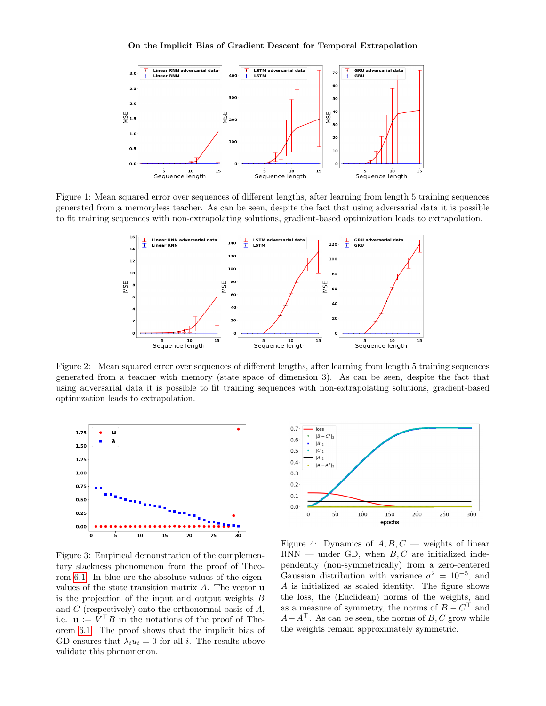

<span id="page-7-0"></span>Figure 1: Mean squared error over sequences of different lengths, after learning from length 5 training sequences generated from a memoryless teacher. As can be seen, despite the fact that using adversarial data it is possible to fit training sequences with non-extrapolating solutions, gradient-based optimization leads to extrapolation.



<span id="page-7-1"></span>Figure 2: Mean squared error over sequences of different lengths, after learning from length 5 training sequences generated from a teacher with memory (state space of dimension 3). As can be seen, despite the fact that using adversarial data it is possible to fit training sequences with non-extrapolating solutions, gradient-based optimization leads to extrapolation.



<span id="page-7-2"></span>Figure 3: Empirical demonstration of the complementary slackness phenomenon from the proof of Theorem [6.1.](#page-4-2) In blue are the absolute values of the eigenvalues of the state transition matrix  $A$ . The vector  $\bf{u}$ is the projection of the input and output weights  $B$ and  $C$  (respectively) onto the orthonormal basis of  $A$ , i.e.  $\mathbf{u} := V^{\top}B$  in the notations of the proof of Theorem [6.1.](#page-4-2) The proof shows that the implicit bias of GD ensures that  $\lambda_i u_i = 0$  for all *i*. The results above validate this phenomenon.



<span id="page-7-3"></span>Figure 4: Dynamics of  $A, B, C$  — weights of linear  $RNN$  — under GD, when  $B, C$  are initialized independently (non-symmetrically) from a zero-centered Gaussian distribution with variance  $\sigma^2 = 10^{-5}$ , and A is initialized as scaled identity. The figure shows the loss, the (Euclidean) norms of the weights, and as a measure of symmetry, the norms of  $B - C^{\top}$  and  $A-A^{\top}$ . As can be seen, the norms of B, C grow while the weights remain approximately symmetric.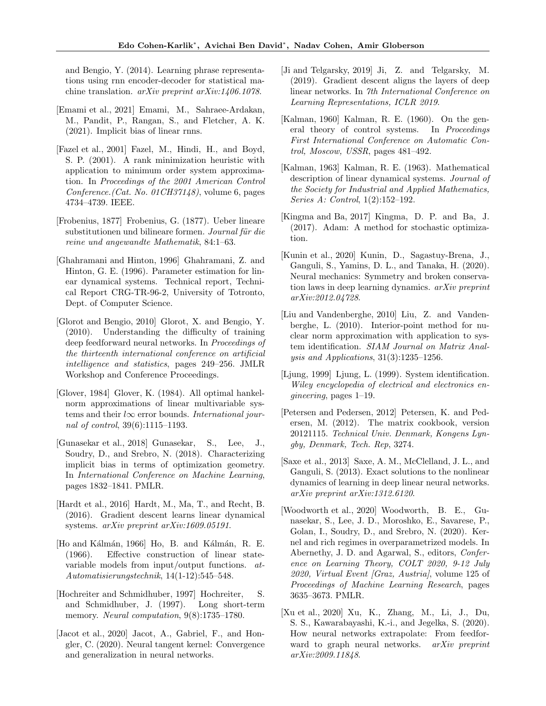and Bengio, Y. (2014). Learning phrase representations using rnn encoder-decoder for statistical machine translation. arXiv preprint arXiv:1406.1078.

- <span id="page-8-14"></span>[Emami et al., 2021] Emami, M., Sahraee-Ardakan, M., Pandit, P., Rangan, S., and Fletcher, A. K. (2021). Implicit bias of linear rnns.
- <span id="page-8-10"></span>[Fazel et al., 2001] Fazel, M., Hindi, H., and Boyd, S. P. (2001). A rank minimization heuristic with application to minimum order system approximation. In Proceedings of the 2001 American Control Conference.(Cat. No. 01CH37148), volume 6, pages 4734–4739. IEEE.
- <span id="page-8-15"></span>[Frobenius, 1877] Frobenius, G. (1877). Ueber lineare substitutionen und bilineare formen. Journal für die reine und angewandte Mathematik, 84:1–63.
- <span id="page-8-6"></span>[Ghahramani and Hinton, 1996] Ghahramani, Z. and Hinton, G. E. (1996). Parameter estimation for linear dynamical systems. Technical report, Technical Report CRG-TR-96-2, University of Totronto, Dept. of Computer Science.
- <span id="page-8-17"></span>[Glorot and Bengio, 2010] Glorot, X. and Bengio, Y. (2010). Understanding the difficulty of training deep feedforward neural networks. In Proceedings of the thirteenth international conference on artificial intelligence and statistics, pages 249–256. JMLR Workshop and Conference Proceedings.
- <span id="page-8-12"></span>[Glover, 1984] Glover, K. (1984). All optimal hankelnorm approximations of linear multivariable systems and their  $l\infty$  error bounds. International journal of control, 39(6):1115–1193.
- <span id="page-8-0"></span>[Gunasekar et al., 2018] Gunasekar, S., Lee, J., Soudry, D., and Srebro, N. (2018). Characterizing implicit bias in terms of optimization geometry. In International Conference on Machine Learning, pages 1832–1841. PMLR.
- <span id="page-8-13"></span>[Hardt et al., 2016] Hardt, M., Ma, T., and Recht, B. (2016). Gradient descent learns linear dynamical systems. arXiv preprint arXiv:1609.05191.
- <span id="page-8-9"></span>[Ho and Kálmán, 1966] Ho, B. and Kálmán, R. E. (1966). Effective construction of linear statevariable models from input/output functions. at-Automatisierungstechnik, 14(1-12):545–548.
- <span id="page-8-16"></span>[Hochreiter and Schmidhuber, 1997] Hochreiter, S. and Schmidhuber, J. (1997). Long short-term memory. *Neural computation*,  $9(8):1735-1780$ .
- <span id="page-8-3"></span>[Jacot et al., 2020] Jacot, A., Gabriel, F., and Hongler, C. (2020). Neural tangent kernel: Convergence and generalization in neural networks.
- <span id="page-8-4"></span>[Ji and Telgarsky, 2019] Ji, Z. and Telgarsky, M. (2019). Gradient descent aligns the layers of deep linear networks. In 7th International Conference on Learning Representations, ICLR 2019.
- <span id="page-8-8"></span>[Kalman, 1960] Kalman, R. E. (1960). On the general theory of control systems. In Proceedings First International Conference on Automatic Control, Moscow, USSR, pages 481–492.
- <span id="page-8-5"></span>[Kalman, 1963] Kalman, R. E. (1963). Mathematical description of linear dynamical systems. Journal of the Society for Industrial and Applied Mathematics, Series A: Control, 1(2):152–192.
- <span id="page-8-18"></span>[Kingma and Ba, 2017] Kingma, D. P. and Ba, J. (2017). Adam: A method for stochastic optimization.
- <span id="page-8-20"></span>[Kunin et al., 2020] Kunin, D., Sagastuy-Brena, J., Ganguli, S., Yamins, D. L., and Tanaka, H. (2020). Neural mechanics: Symmetry and broken conservation laws in deep learning dynamics. arXiv preprint arXiv:2012.04728.
- <span id="page-8-11"></span>[Liu and Vandenberghe, 2010] Liu, Z. and Vandenberghe, L. (2010). Interior-point method for nuclear norm approximation with application to system identification. SIAM Journal on Matrix Analysis and Applications, 31(3):1235–1256.
- <span id="page-8-7"></span>[Ljung, 1999] Ljung, L. (1999). System identification. Wiley encyclopedia of electrical and electronics engineering, pages 1–19.
- <span id="page-8-21"></span>[Petersen and Pedersen, 2012] Petersen, K. and Pedersen, M. (2012). The matrix cookbook, version 20121115. Technical Univ. Denmark, Kongens Lyngby, Denmark, Tech. Rep, 3274.
- <span id="page-8-19"></span>[Saxe et al., 2013] Saxe, A. M., McClelland, J. L., and Ganguli, S. (2013). Exact solutions to the nonlinear dynamics of learning in deep linear neural networks. arXiv preprint arXiv:1312.6120.
- <span id="page-8-1"></span>[Woodworth et al., 2020] Woodworth, B. E., Gunasekar, S., Lee, J. D., Moroshko, E., Savarese, P., Golan, I., Soudry, D., and Srebro, N. (2020). Kernel and rich regimes in overparametrized models. In Abernethy, J. D. and Agarwal, S., editors, Conference on Learning Theory, COLT 2020, 9-12 July 2020, Virtual Event [Graz, Austria], volume 125 of Proceedings of Machine Learning Research, pages 3635–3673. PMLR.
- <span id="page-8-2"></span>[Xu et al., 2020] Xu, K., Zhang, M., Li, J., Du, S. S., Kawarabayashi, K.-i., and Jegelka, S. (2020). How neural networks extrapolate: From feedforward to graph neural networks. *arXiv preprint* arXiv:2009.11848.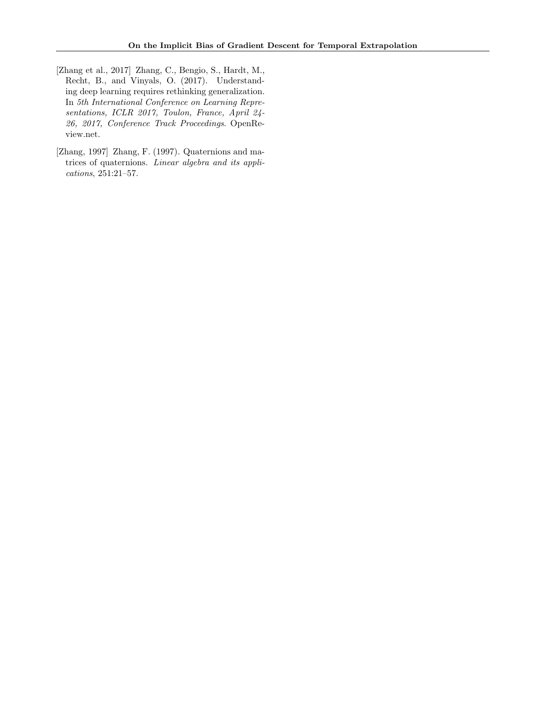- <span id="page-9-0"></span>[Zhang et al., 2017] Zhang, C., Bengio, S., Hardt, M., Recht, B., and Vinyals, O. (2017). Understanding deep learning requires rethinking generalization. In 5th International Conference on Learning Representations, ICLR 2017, Toulon, France, April 24- 26, 2017, Conference Track Proceedings. OpenReview.net.
- <span id="page-9-1"></span>[Zhang, 1997] Zhang, F. (1997). Quaternions and matrices of quaternions. Linear algebra and its applications, 251:21–57.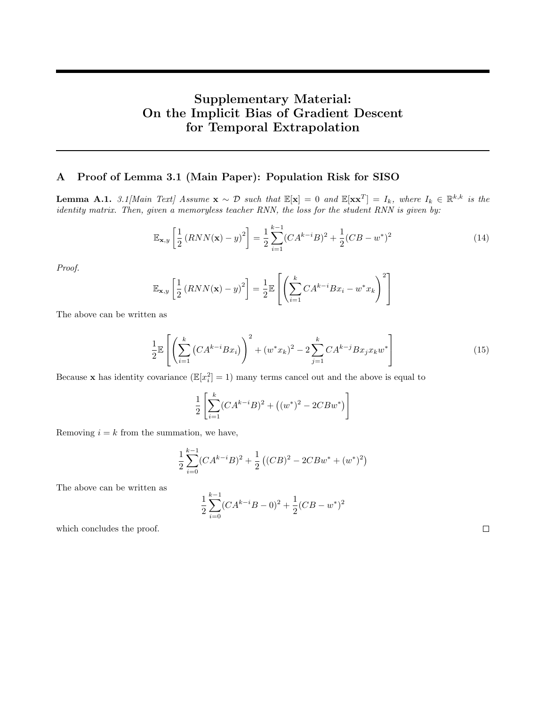# Supplementary Material: On the Implicit Bias of Gradient Descent for Temporal Extrapolation

### <span id="page-10-1"></span>A Proof of Lemma 3.1 (Main Paper): Population Risk for SISO

<span id="page-10-0"></span>**Lemma A.1.** 3.1[Main Text] Assume  $\mathbf{x} \sim \mathcal{D}$  such that  $\mathbb{E}[\mathbf{x}] = 0$  and  $\mathbb{E}[\mathbf{x}\mathbf{x}^T] = I_k$ , where  $I_k \in \mathbb{R}^{k,k}$  is the identity matrix. Then, given a memoryless teacher RNN, the loss for the student RNN is given by:

$$
\mathbb{E}_{\mathbf{x},y} \left[ \frac{1}{2} \left( RNN(\mathbf{x}) - y \right)^2 \right] = \frac{1}{2} \sum_{i=1}^{k-1} (CA^{k-i}B)^2 + \frac{1}{2} (CB - w^*)^2 \tag{14}
$$

Proof.

$$
\mathbb{E}_{\mathbf{x},y} \left[ \frac{1}{2} \left( RNN(\mathbf{x}) - y \right)^2 \right] = \frac{1}{2} \mathbb{E} \left[ \left( \sum_{i=1}^k C A^{k-i} B x_i - w^* x_k \right)^2 \right]
$$

The above can be written as

$$
\frac{1}{2} \mathbb{E}\left[ \left( \sum_{i=1}^{k} \left( C A^{k-i} B x_i \right) \right)^2 + (w^* x_k)^2 - 2 \sum_{j=1}^{k} C A^{k-j} B x_j x_k w^* \right] \tag{15}
$$

Because **x** has identity covariance  $(\mathbb{E}[x_i^2] = 1)$  many terms cancel out and the above is equal to

$$
\frac{1}{2} \left[ \sum_{i=1}^{k} (CA^{k-i}B)^2 + \left( (w^*)^2 - 2CBw^* \right) \right]
$$

Removing  $i = k$  from the summation, we have,

$$
\frac{1}{2}\sum_{i=0}^{k-1}(CA^{k-i}B)^2 + \frac{1}{2}((CB)^2 - 2CBw^* + (w^*)^2)
$$

The above can be written as

$$
\frac{1}{2}\sum_{i=0}^{k-1}(CA^{k-i}B-0)^2+\frac{1}{2}(CB-w^*)^2
$$

which concludes the proof.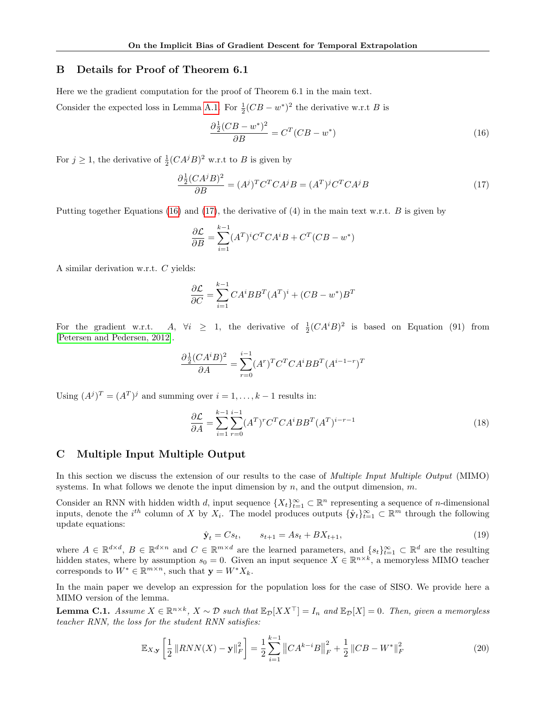### <span id="page-11-1"></span>B Details for Proof of Theorem 6.1

Here we the gradient computation for the proof of Theorem 6.1 in the main text.

Consider the expected loss in Lemma [A.1.](#page-10-0) For  $\frac{1}{2}(CB - w^*)^2$  the derivative w.r.t B is

<span id="page-11-3"></span><span id="page-11-2"></span>
$$
\frac{\partial \frac{1}{2}(CB - w^*)^2}{\partial B} = C^T(CB - w^*)
$$
\n(16)

For  $j \geq 1$ , the derivative of  $\frac{1}{2}(CA^jB)^2$  w.r.t to B is given by

$$
\frac{\partial \frac{1}{2} (CA^j B)^2}{\partial B} = (A^j)^T C^T C A^j B = (A^T)^j C^T C A^j B \tag{17}
$$

Putting together Equations [\(16\)](#page-11-2) and [\(17\)](#page-11-3), the derivative of (4) in the main text w.r.t. B is given by

$$
\frac{\partial \mathcal{L}}{\partial B} = \sum_{i=1}^{k-1} (A^T)^i C^T C A^i B + C^T (C B - w^*)
$$

A similar derivation w.r.t. C yields:

$$
\frac{\partial \mathcal{L}}{\partial C} = \sum_{i=1}^{k-1} CA^i BB^T (A^T)^i + (CB - w^*)B^T
$$

For the gradient w.r.t. A,  $\forall i \geq 1$ , the derivative of  $\frac{1}{2}(CA^iB)^2$  is based on Equation (91) from [\[Petersen and Pedersen, 2012\]](#page-8-21).

$$
\frac{\partial \frac{1}{2}(CA^{i}B)^{2}}{\partial A} = \sum_{r=0}^{i-1} (A^{r})^{T} C^{T} CA^{i}BB^{T} (A^{i-1-r})^{T}
$$

Using  $(A^{j})^{T} = (A^{T})^{j}$  and summing over  $i = 1, ..., k - 1$  results in:

$$
\frac{\partial \mathcal{L}}{\partial A} = \sum_{i=1}^{k-1} \sum_{r=0}^{i-1} (A^T)^r C^T C A^i B B^T (A^T)^{i-r-1}
$$
\n(18)

#### <span id="page-11-0"></span>C Multiple Input Multiple Output

In this section we discuss the extension of our results to the case of *Multiple Input Multiple Output* (MIMO) systems. In what follows we denote the input dimension by  $n$ , and the output dimension,  $m$ .

Consider an RNN with hidden width d, input sequence  $\{X_t\}_{t=1}^{\infty} \subset \mathbb{R}^n$  representing a sequence of n-dimensional inputs, denote the  $i^{th}$  column of X by  $X_i$ . The model produces outputs  $\{\hat{\mathbf{y}}_t\}_{t=1}^\infty \subset \mathbb{R}^m$  through the following update equations:

$$
\hat{\mathbf{y}}_t = Cs_t, \qquad s_{t+1} = As_t + BX_{t+1}, \tag{19}
$$

where  $A \in \mathbb{R}^{d \times d}$ ,  $B \in \mathbb{R}^{d \times n}$  and  $C \in \mathbb{R}^{m \times d}$  are the learned parameters, and  $\{s_t\}_{t=1}^{\infty} \subset \mathbb{R}^d$  are the resulting hidden states, where by assumption  $s_0 = 0$ . Given an input sequence  $X \in \mathbb{R}^{n \times k}$ , a memoryless MIMO teacher corresponds to  $W^* \in \mathbb{R}^{m \times n}$ , such that  $\mathbf{y} = W^* X_k$ .

In the main paper we develop an expression for the population loss for the case of SISO. We provide here a MIMO version of the lemma.

<span id="page-11-4"></span>**Lemma C.1.** Assume  $X \in \mathbb{R}^{n \times k}$ ,  $X \sim \mathcal{D}$  such that  $\mathbb{E}_{\mathcal{D}}[XX^{\top}] = I_n$  and  $\mathbb{E}_{\mathcal{D}}[X] = 0$ . Then, given a memoryless teacher RNN, the loss for the student RNN satisfies:

$$
\mathbb{E}_{X,\mathbf{y}}\left[\frac{1}{2}\left\|RNN(X) - \mathbf{y}\right\|_{F}^{2}\right] = \frac{1}{2}\sum_{i=1}^{k-1} \left\|CA^{k-i}B\right\|_{F}^{2} + \frac{1}{2}\left\|CB - W^{*}\right\|_{F}^{2}
$$
(20)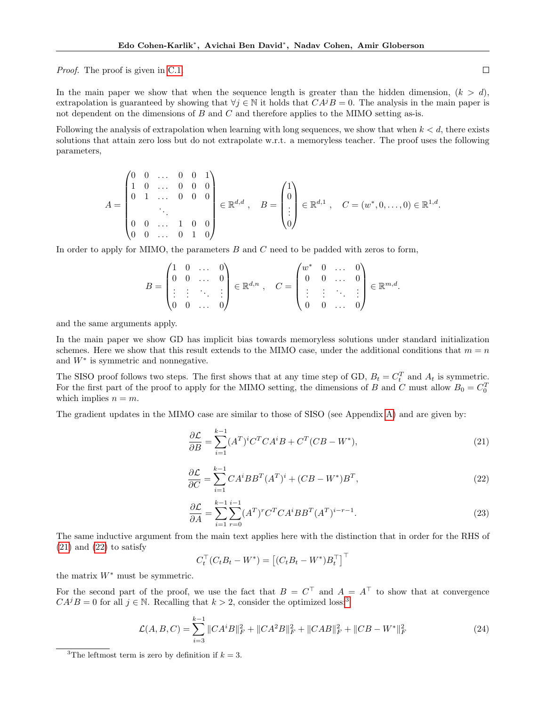Proof. The proof is given in [C.1.](#page-13-0)

In the main paper we show that when the sequence length is greater than the hidden dimension,  $(k > d)$ , extrapolation is guaranteed by showing that  $\forall j \in \mathbb{N}$  it holds that  $CA^{j}B = 0$ . The analysis in the main paper is not dependent on the dimensions of  $B$  and  $C$  and therefore applies to the MIMO setting as-is.

Following the analysis of extrapolation when learning with long sequences, we show that when  $k < d$ , there exists solutions that attain zero loss but do not extrapolate w.r.t. a memoryless teacher. The proof uses the following parameters,

$$
A = \begin{pmatrix} 0 & 0 & \dots & 0 & 0 & 1 \\ 1 & 0 & \dots & 0 & 0 & 0 \\ 0 & 1 & \dots & 0 & 0 & 0 \\ & & \ddots & & & \\ 0 & 0 & \dots & 1 & 0 & 0 \\ 0 & 0 & \dots & 0 & 1 & 0 \end{pmatrix} \in \mathbb{R}^{d,d}, \quad B = \begin{pmatrix} 1 \\ 0 \\ \vdots \\ 0 \end{pmatrix} \in \mathbb{R}^{d,1}, \quad C = (w^*, 0, \dots, 0) \in \mathbb{R}^{1,d}.
$$

In order to apply for MIMO, the parameters  $B$  and  $C$  need to be padded with zeros to form,

$$
B = \begin{pmatrix} 1 & 0 & \dots & 0 \\ 0 & 0 & \dots & 0 \\ \vdots & \vdots & \ddots & \vdots \\ 0 & 0 & \dots & 0 \end{pmatrix} \in \mathbb{R}^{d,n}, \quad C = \begin{pmatrix} w^* & 0 & \dots & 0 \\ 0 & 0 & \dots & 0 \\ \vdots & \vdots & \ddots & \vdots \\ 0 & 0 & \dots & 0 \end{pmatrix} \in \mathbb{R}^{m,d}.
$$

and the same arguments apply.

In the main paper we show GD has implicit bias towards memoryless solutions under standard initialization schemes. Here we show that this result extends to the MIMO case, under the additional conditions that  $m = n$ and  $W^*$  is symmetric and nonnegative.

The SISO proof follows two steps. The first shows that at any time step of GD,  $B_t = C_t^T$  and  $A_t$  is symmetric. For the first part of the proof to apply for the MIMO setting, the dimensions of B and C must allow  $B_0 = C_0^T$ which implies  $n = m$ .

<span id="page-12-1"></span>The gradient updates in the MIMO case are similar to those of SISO (see Appendix [A\)](#page-10-1) and are given by:

<span id="page-12-0"></span>
$$
\frac{\partial \mathcal{L}}{\partial B} = \sum_{i=1}^{k-1} (A^T)^i C^T C A^i B + C^T (C B - W^*),\tag{21}
$$

$$
\frac{\partial \mathcal{L}}{\partial C} = \sum_{i=1}^{k-1} CA^i BB^T (A^T)^i + (CB - W^*)B^T,
$$
\n(22)

$$
\frac{\partial \mathcal{L}}{\partial A} = \sum_{i=1}^{k-1} \sum_{r=0}^{i-1} (A^T)^r C^T C A^i B B^T (A^T)^{i-r-1}.
$$
\n(23)

The same inductive argument from the main text applies here with the distinction that in order for the RHS of  $(21)$  and  $(22)$  to satisfy

$$
C_t^\top (C_t B_t - W^*) = [(C_t B_t - W^*) B_t^\top]^\top
$$

the matrix  $W^*$  must be symmetric.

For the second part of the proof, we use the fact that  $B = C^{\top}$  and  $A = A^{\top}$  to show that at convergence  $CA^{j}B = 0$  for all  $j \in \mathbb{N}$ . Recalling that  $k > 2$ , consider the optimized loss:<sup>[3](#page-12-2)</sup>

$$
\mathcal{L}(A, B, C) = \sum_{i=3}^{k-1} \|CA^i B\|_F^2 + \|CA^2 B\|_F^2 + \|CAB\|_F^2 + \|CB - W^*\|_F^2 \tag{24}
$$

<span id="page-12-2"></span><sup>&</sup>lt;sup>3</sup>The leftmost term is zero by definition if  $k = 3$ .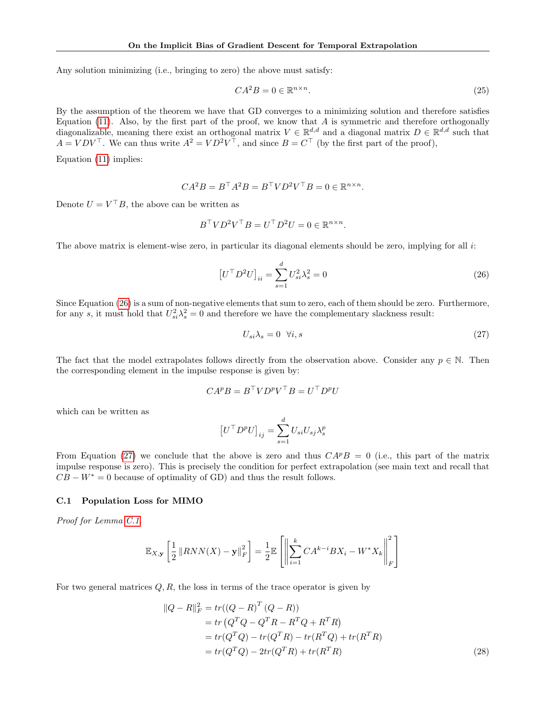Any solution minimizing (i.e., bringing to zero) the above must satisfy:

$$
CA^2B = 0 \in \mathbb{R}^{n \times n}.\tag{25}
$$

By the assumption of the theorem we have that GD converges to a minimizing solution and therefore satisfies Equation [\(11\)](#page-5-1). Also, by the first part of the proof, we know that  $A$  is symmetric and therefore orthogonally diagonalizable, meaning there exist an orthogonal matrix  $V \in \mathbb{R}^{d,d}$  and a diagonal matrix  $D \in \mathbb{R}^{d,d}$  such that  $A = VDV^{\top}$ . We can thus write  $A^2 = VD^2V^{\top}$ , and since  $B = C^{\top}$  (by the first part of the proof),

Equation [\(11\)](#page-5-1) implies:

$$
CA^2B = B^{\top}A^2B = B^{\top}VD^2V^{\top}B = 0 \in \mathbb{R}^{n \times n}.
$$

Denote  $U = V^{\top}B$ , the above can be written as

$$
B^{\top}VD^{2}V^{\top}B = U^{\top}D^{2}U = 0 \in \mathbb{R}^{n \times n}.
$$

The above matrix is element-wise zero, in particular its diagonal elements should be zero, implying for all i:

$$
\left[U^{\top} D^2 U\right]_{ii} = \sum_{s=1}^{d} U_{si}^2 \lambda_s^2 = 0 \tag{26}
$$

Since Equation [\(26\)](#page-13-1) is a sum of non-negative elements that sum to zero, each of them should be zero. Furthermore, for any s, it must hold that  $U_{si}^2 \lambda_s^2 = 0$  and therefore we have the complementary slackness result:

<span id="page-13-2"></span><span id="page-13-1"></span>
$$
U_{si}\lambda_s = 0 \quad \forall i, s \tag{27}
$$

The fact that the model extrapolates follows directly from the observation above. Consider any  $p \in \mathbb{N}$ . Then the corresponding element in the impulse response is given by:

$$
CA^pB = B^{\top}VD^pV^{\top}B = U^{\top}D^pU
$$

which can be written as

$$
\left[U^{\top} D^p U\right]_{ij} = \sum_{s=1}^d U_{si} U_{sj} \lambda_s^p
$$

From Equation [\(27\)](#page-13-2) we conclude that the above is zero and thus  $CA^pB = 0$  (i.e., this part of the matrix impulse response is zero). This is precisely the condition for perfect extrapolation (see main text and recall that  $CB - W^* = 0$  because of optimality of GD) and thus the result follows.

#### <span id="page-13-0"></span>C.1 Population Loss for MIMO

Proof for Lemma [C.1.](#page-11-4)

$$
\mathbb{E}_{X,\mathbf{y}}\left[\frac{1}{2}\left\|RNN(X) - \mathbf{y}\right\|_F^2\right] = \frac{1}{2}\mathbb{E}\left[\left\|\sum_{i=1}^k CA^{k-i}BX_i - W^*X_k\right\|_F^2\right]
$$

For two general matrices  $Q, R$ , the loss in terms of the trace operator is given by

<span id="page-13-3"></span>
$$
||Q - R||_F^2 = tr((Q - R)^T (Q - R))
$$
  
= tr (Q<sup>T</sup>Q - Q<sup>T</sup>R - R<sup>T</sup>Q + R<sup>T</sup>R)  
= tr(Q<sup>T</sup>Q) - tr(Q<sup>T</sup>R) - tr(R<sup>T</sup>Q) + tr(R<sup>T</sup>R)  
= tr(Q<sup>T</sup>Q) - 2tr(Q<sup>T</sup>R) + tr(R<sup>T</sup>R) (28)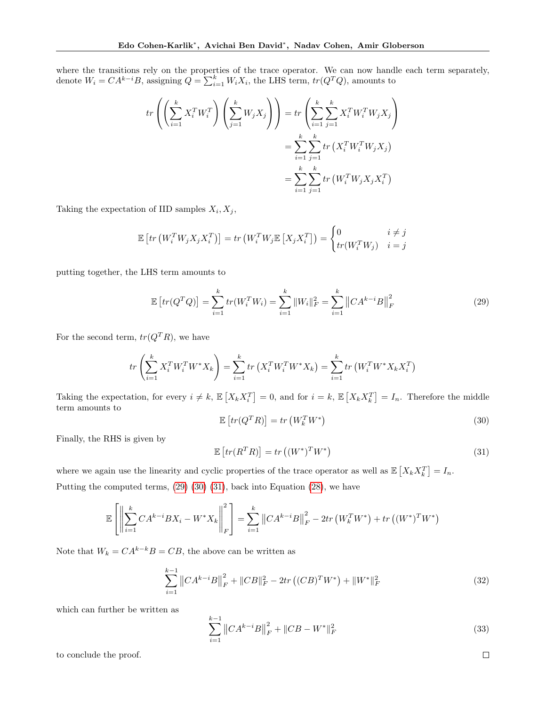where the transitions rely on the properties of the trace operator. We can now handle each term separately, denote  $W_i = CA^{k-i}B$ , assigning  $\hat{Q} = \sum_{i=1}^{k} W_i X_i$ , the LHS term,  $tr(Q^T Q)$ , amounts to

$$
tr\left(\left(\sum_{i=1}^{k} X_i^T W_i^T\right) \left(\sum_{j=1}^{k} W_j X_j\right)\right) = tr\left(\sum_{i=1}^{k} \sum_{j=1}^{k} X_i^T W_i^T W_j X_j\right)
$$

$$
= \sum_{i=1}^{k} \sum_{j=1}^{k} tr\left(X_i^T W_i^T W_j X_j\right)
$$

$$
= \sum_{i=1}^{k} \sum_{j=1}^{k} tr\left(W_i^T W_j X_j X_i^T\right)
$$

Taking the expectation of IID samples  $X_i, X_j$ ,

$$
\mathbb{E}\left[\operatorname{tr}\left(W_i^T W_j X_j X_i^T\right)\right] = \operatorname{tr}\left(W_i^T W_j \mathbb{E}\left[X_j X_i^T\right]\right) = \begin{cases} 0 & i \neq j \\ \operatorname{tr}(W_i^T W_j) & i = j \end{cases}
$$

putting together, the LHS term amounts to

<span id="page-14-0"></span>
$$
\mathbb{E}\left[tr(Q^TQ)\right] = \sum_{i=1}^k tr(W_i^T W_i) = \sum_{i=1}^k \|W_i\|_F^2 = \sum_{i=1}^k \left\|CA^{k-i}B\right\|_F^2
$$
\n(29)

For the second term,  $tr(Q^TR)$ , we have

<span id="page-14-1"></span>
$$
tr\left(\sum_{i=1}^{k} X_i^T W_i^T W^* X_k\right) = \sum_{i=1}^{k} tr\left(X_i^T W_i^T W^* X_k\right) = \sum_{i=1}^{k} tr\left(W_i^T W^* X_k X_i^T\right)
$$

Taking the expectation, for every  $i \neq k$ ,  $\mathbb{E}\left[X_k X_i^T\right] = 0$ , and for  $i = k$ ,  $\mathbb{E}\left[X_k X_k^T\right] = I_n$ . Therefore the middle term amounts to

$$
\mathbb{E}\left[tr(Q^T R)\right] = tr\left(W_k^T W^*\right) \tag{30}
$$

Finally, the RHS is given by

<span id="page-14-2"></span>
$$
\mathbb{E}\left[tr(R^T R)\right] = tr\left((W^*)^T W^*\right) \tag{31}
$$

where we again use the linearity and cyclic properties of the trace operator as well as  $\mathbb{E}\left[X_k X_k^T\right] = I_n$ . Putting the computed terms, [\(29\)](#page-14-0) [\(30\)](#page-14-1) [\(31\)](#page-14-2), back into Equation [\(28\)](#page-13-3), we have

$$
\mathbb{E}\left[\left\|\sum_{i=1}^{k}CA^{k-i}BX_i - W^*X_k\right\|_{F}^{2}\right] = \sum_{i=1}^{k} \left\|CA^{k-i}B\right\|_{F}^{2} - 2tr\left(W_k^TW^*\right) + tr\left((W^*)^TW^*\right)
$$

Note that  $W_k = CA^{k-k}B = CB$ , the above can be written as

$$
\sum_{i=1}^{k-1} \|CA^{k-i}B\|_F^2 + \|CB\|_F^2 - 2tr\left((CB)^T W^*\right) + \|W^*\|_F^2
$$
\n(32)

which can further be written as

$$
\sum_{i=1}^{k-1} \|CA^{k-i}B\|_F^2 + \|CB - W^*\|_F^2
$$
\n(33)

to conclude the proof.